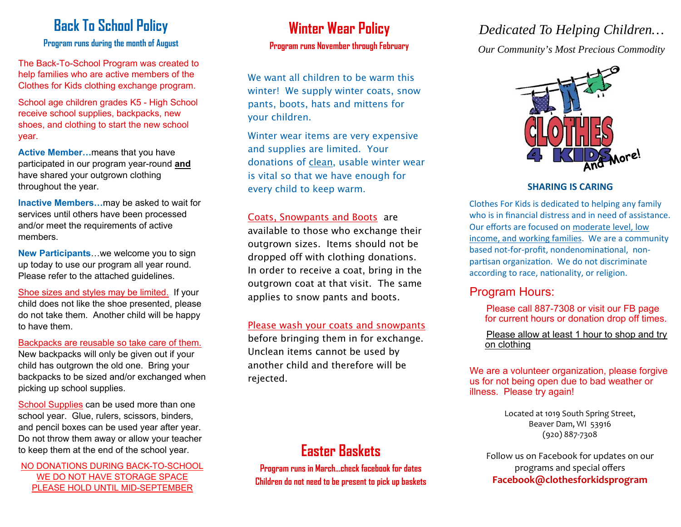# **Back To School Policy**

#### **Program runs during the month of August**

The Back-To-School Program was created to help families who are active members of the Clothes for Kids clothing exchange program.

School age children grades K5 - High School receive school supplies, backpacks, new shoes, and clothing to start the new school year.

**Active Member…**means that you have participated in our program year-round **and** have shared your outgrown clothing throughout the year.

**Inactive Members…**may be asked to wait for services until others have been processed and/or meet the requirements of active members.

**New Participants**…we welcome you to sign up today to use our program all year round. Please refer to the attached guidelines.

Shoe sizes and styles may be limited. If your child does not like the shoe presented, please do not take them. Another child will be happy to have them.

Backpacks are reusable so take care of them.

New backpacks will only be given out if your child has outgrown the old one. Bring your backpacks to be sized and/or exchanged when picking up school supplies.

School Supplies can be used more than one school year. Glue, rulers, scissors, binders, and pencil boxes can be used year after year. Do not throw them away or allow your teacher to keep them at the end of the school year.

NO DONATIONS DURING BACK-TO-SCHOOL WE DO NOT HAVE STORAGE SPACE PLEASE HOLD UNTIL MID-SEPTEMBER

### **Winter Wear Policy Program runs November through February**

We want all children to be warm this winter! We supply winter coats, snow pants, boots, hats and mittens for your children.

Winter wear items are very expensive and supplies are limited. Your donations of clean, usable winter wear is vital so that we have enough for every child to keep warm.

### Coats, Snowpants and Boots are

available to those who exchange their outgrown sizes. Items should not be dropped off with clothing donations. In order to receive a coat, bring in the outgrown coat at that visit. The same applies to snow pants and boots.

#### Please wash your coats and snowpants

before bringing them in for exchange. Unclean items cannot be used by another child and therefore will be rejected.

# **Easter Baskets**

**Program runs in March...check facebook for dates Children do not need to be present to pick up baskets** 

## *Dedicated To Helping Children…*

*Our Community's Most Precious Commodity* 



### **SHARING IS CARING**

Clothes For Kids is dedicated to helping any family who is in financial distress and in need of assistance. Our efforts are focused on moderate level, low income, and working families. We are a community based not-for-profit, nondenominational, nonpartisan organization. We do not discriminate according to race, nationality, or religion.

### Program Hours:

Please call 887-7308 or visit our FB page for current hours or donation drop off times.

Please allow at least 1 hour to shop and try on clothing

We are a volunteer organization, please forgive us for not being open due to bad weather or illness. Please try again!

> Located at 1019 South Spring Street, Beaver Dam, WI 53916 (920) 887‐7308

Follow us on Facebook for updates on our programs and special o ffers **Facebook@clothesforkidsprogram**